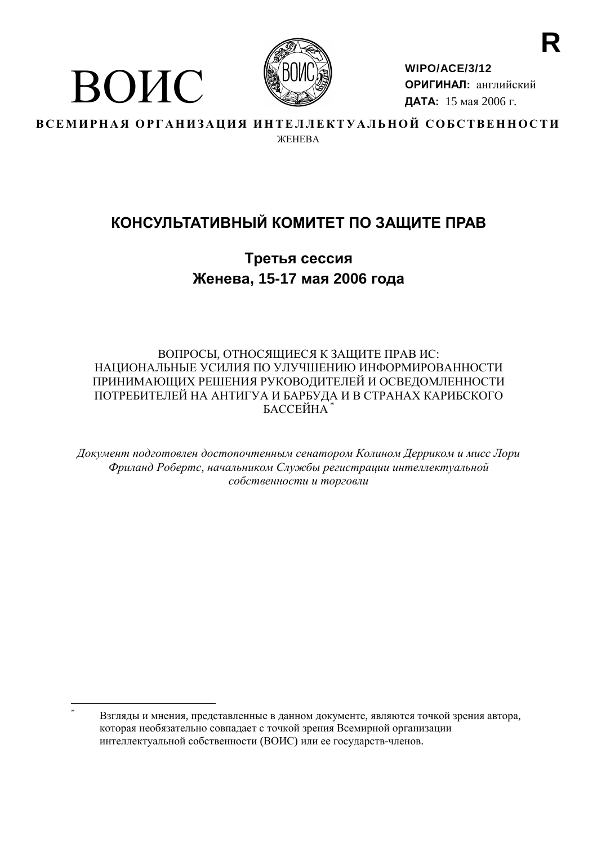

ВОИС

WIPO/ACE/3/12 ОРИГИНАЛ: английский ДАТА: 15 мая 2006 г.

ВСЕМИРНАЯ ОРГАНИЗАЦИЯ ИНТЕЛЛЕКТУАЛЬНОЙ СОБСТВЕННОСТИ **WEHERA** 

# КОНСУЛЬТАТИВНЫЙ КОМИТЕТ ПО ЗАЩИТЕ ПРАВ

Третья сессия Женева, 15-17 мая 2006 года

# ВОПРОСЫ, ОТНОСЯЩИЕСЯ К ЗАЩИТЕ ПРАВ ИС: НАЦИОНАЛЬНЫЕ УСИЛИЯ ПО УЛУЧШЕНИЮ ИНФОРМИРОВАННОСТИ ПРИНИМАЮЩИХ РЕШЕНИЯ РУКОВОДИТЕЛЕЙ И ОСВЕДОМЛЕННОСТИ ПОТРЕБИТЕЛЕЙ НА АНТИГУА И БАРБУДА И В СТРАНАХ КАРИБСКОГО **БАССЕЙНА**

Документ подготовлен достопочтенным сенатором Колином Дерриком и мисс Лори Фриланд Робертс, начальником Службы регистрации интеллектуальной собственности и торговли

Взгляды и мнения, представленные в данном документе, являются точкой зрения автора, которая необязательно совпадает с точкой зрения Всемирной организации интеллектуальной собственности (ВОИС) или ее государств-членов.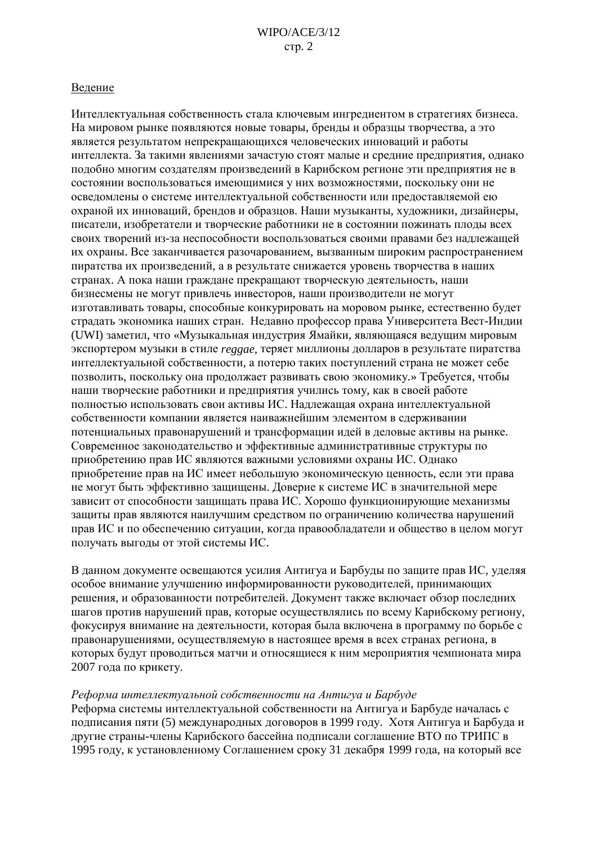#### Ведение

Интеллектуальная собственность стала ключевым ингредиентом в стратегиях бизнеса. На мировом рынке появляются новые товары, бренды и образцы творчества, а это является результатом непрекращающихся человеческих инноваций и работы интеллекта. За такими явлениями зачастую стоят малые и средние предприятия, однако подобно многим создателям произведений в Карибском регионе эти предприятия не в состоянии воспользоваться имеющимися у них возможностями, поскольку они не осведомлены о системе интеллектуальной собственности или предоставляемой ею охраной их инноваций, брендов и образцов. Наши музыканты, художники, дизайнеры, писатели, изобретатели и творческие работники не в состоянии пожинать плоды всех своих творений из-за неспособности воспользоваться своими правами без надлежащей их охраны. Все заканчивается разочарованием, вызванным широким распространением пиратства их произведений, а в результате снижается уровень творчества в наших странах. А пока наши граждане прекращают творческую деятельность, наши бизнесмены не могут привлечь инвесторов, наши производители не могут изготавливать товары, способные конкурировать на моровом рынке, естественно будет страдать экономика наших стран. Недавно профессор права Университета Вест-Индии (UWI) заметил, что «Музыкальная индустрия Ямайки, являющаяся ведущим мировым экспортером музыки в стиле *reggae*, теряет миллионы долларов в результате пиратства интеллектуальной собственности, а потерю таких поступлений страна не может себе позволить, поскольку она продолжает развивать свою экономику.» Требуется, чтобы наши творческие работники и предприятия учились тому, как в своей работе полностью использовать свои активы ИС. Надлежащая охрана интеллектуальной собственности компании является наиважнейшим элементом в сдерживании потенциальных правонарушений и трансформации идей в деловые активы на рынке. Современное законодательство и эффективные административные структуры по приобретению прав ИС являются важными условиями охраны ИС. Однако приобретение прав на ИС имеет небольшую экономическую ценность, если эти права не могут быть эффективно защищены. Доверие к системе ИС в значительной мере зависит от способности защищать права ИС. Хорошо функционирующие механизмы защиты прав являются наилучшим средством по ограничению количества нарушений прав ИС и по обеспечению ситуации, когда правообладатели и общество в целом могут получать выгоды от этой системы ИС.

В данном документе освещаются усилия Антигуа и Барбуды по защите прав ИС, уделяя особое внимание улучшению информированности руководителей, принимающих решения, и образованности потребителей. Документ также включает обзор последних шагов против нарушений прав, которые осуществлялись по всему Карибскому региону, фокусируя внимание на деятельности, которая была включена в программу по борьбе с правонарушениями, осуществляемую в настоящее время в всех странах региона, в которых будут проводиться матчи и относящиеся к ним мероприятия чемпионата мира 2007 года по крикету.

#### Реформа интеллектуальной собственности на Антигуа и Барбуде

Реформа системы интеллектуальной собственности на Антигуа и Барбуде началась с подписания пяти (5) международных договоров в 1999 году. Хотя Антигуа и Барбуда и другие страны-члены Карибского бассейна подписали соглашение ВТО по ТРИПС в 1995 году, к установленному Соглашением сроку 31 декабря 1999 года, на который все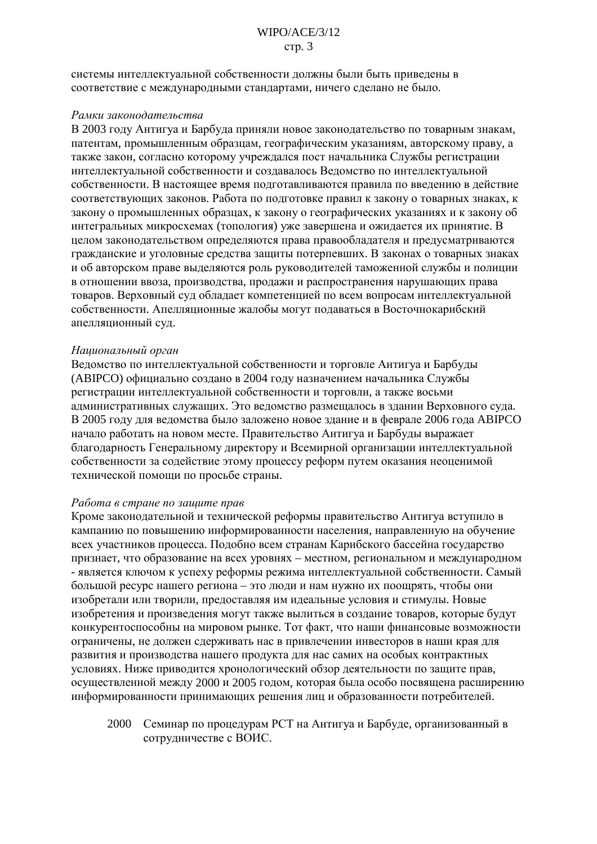системы интеллектуальной собственности лолжны были быть привелены в соответствие с международными стандартами, ничего сделано не было.

#### Рамки законодательства

В 2003 году Антигуа и Барбуда приняли новое законодательство по товарным знакам, патентам, промышленным образцам, географическим указаниям, авторскому праву, а также закон, согласно которому учреждался пост начальника Службы регистрации интеллектуальной собственности и создавалось Веломство по интеллектуальной собственности. В настоящее время подготавливаются правила по введению в действие соответствующих законов. Работа по подготовке правил к закону о товарных знаках, к закону о промышленных образцах, к закону о географических указаниях и к закону об интегральных микросхемах (топология) уже завершена и ожидается их принятие. В целом законодательством определяются права правообладателя и предусматриваются гражданские и уголовные средства защиты потерпевших. В законах о товарных знаках и об авторском праве выделяются роль руководителей таможенной службы и полиции в отношении ввоза, производства, продажи и распространения нарушающих права товаров. Верховный суд обладает компетенцией по всем вопросам интеллектуальной собственности. Апелляционные жалобы могут подаваться в Восточнокарибский апелляционный суд.

#### Национальный орган

Ведомство по интеллектуальной собственности и торговле Антигуа и Барбуды (АВІРСО) официально создано в 2004 году назначением начальника Службы регистрации интеллектуальной собственности и торговли, а также восьми административных служащих. Это ведомство размещалось в здании Верховного суда. В 2005 году для ведомства было заложено новое здание и в феврале 2006 года АВІРСО начало работать на новом месте. Правительство Антигуа и Барбуды выражает благодарность Генеральному директору и Всемирной организации интеллектуальной собственности за содействие этому процессу реформ путем оказания неоценимой технической помощи по просьбе страны.

#### Работа в стране по зашите прав

Кроме законодательной и технической реформы правительство Антигуа вступило в кампанию по повышению информированности населения, направленную на обучение всех участников процесса. Подобно всем странам Карибского бассейна государство признает, что образование на всех уровнях - местном, региональном и международном - является ключом к успеху реформы режима интеллектуальной собственности. Самый большой ресурс нашего региона - это люди и нам нужно их поощрять, чтобы они изобретали или творили, предоставляя им идеальные условия и стимулы. Новые изобретения и произведения могут также вылиться в создание товаров, которые будут конкурентоспособны на мировом рынке. Тот факт, что наши финансовые возможности ограничены, не должен сдерживать нас в привлечении инвесторов в наши края для развития и произволства нашего пролукта лля нас самих на особых контрактных условиях. Ниже приводится хронологический обзор деятельности по защите прав, осуществленной между 2000 и 2005 годом, которая была особо посвящена расширению информированности принимающих решения лиц и образованности потребителей.

2000 Семинар по процедурам РСТ на Антигуа и Барбуде, организованный в сотрудничестве с ВОИС.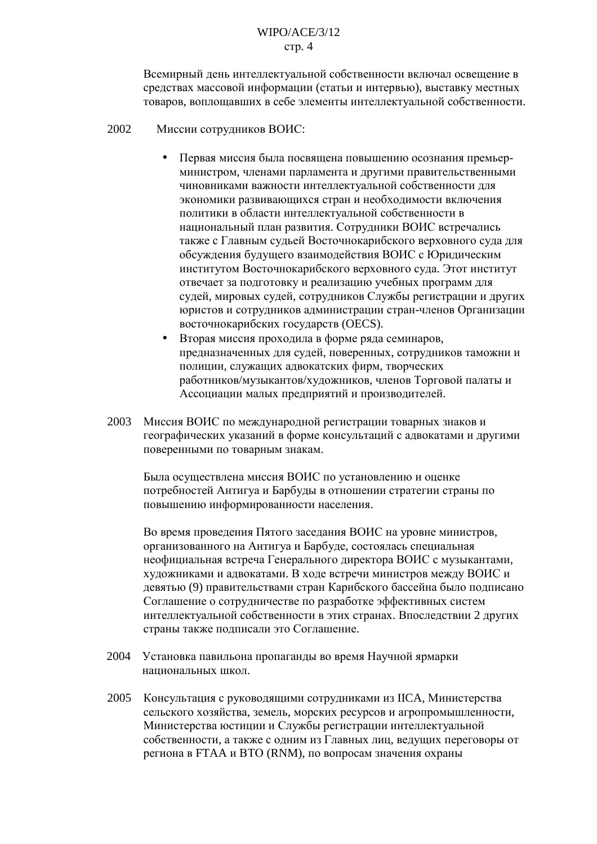Всемирный день интеллектуальной собственности включал освешение в средствах массовой информации (статьи и интервью), выставку местных товаров, воплощавших в себе элементы интеллектуальной собственности.

- 2002 Миссии сотрудников ВОИС:
	- Первая миссия была посвящена повышению осознания премьерминистром, членами парламента и другими правительственными чиновниками важности интеллектуальной собственности для экономики развивающихся стран и необходимости включения политики в области интеллектуальной собственности в национальный план развития. Сотрудники ВОИС встречались также с Главным судьей Восточнокарибского верховного суда для обсуждения будущего взаимодействия ВОИС с Юридическим институтом Восточнокарибского верховного суда. Этот институт отвечает за подготовку и реализацию учебных программ для судей, мировых судей, сотрудников Службы регистрации и других юристов и сотрудников администрации стран-членов Организации восточнокарибских государств (OECS).
	- Вторая миссия проходила в форме ряда семинаров, предназначенных для судей, поверенных, сотрудников таможни и полиции, служащих адвокатских фирм, творческих работников/музыкантов/художников, членов Торговой палаты и Ассоциации малых предприятий и производителей.
- 2003 Миссия ВОИС по международной регистрации товарных знаков и географических указаний в форме консультаций с алвокатами и лругими поверенными по товарным знакам.

Была осуществлена миссия ВОИС по установлению и оценке потребностей Антигуа и Барбуды в отношении стратегии страны по повышению информированности населения.

Во время проведения Пятого заселания ВОИС на уровне министров. организованного на Антигуа и Барбуде, состоялась специальная неофициальная встреча Генерального директора ВОИС с музыкантами, художниками и адвокатами. В ходе встречи министров между ВОИС и девятью (9) правительствами стран Карибского бассейна было подписано Соглашение о сотрудничестве по разработке эффективных систем интеллектуальной собственности в этих странах. Впоследствии 2 других страны также подписали это Соглашение.

- 2004 Установка павильона пропаганды во время Научной ярмарки национальных школ.
- 2005 Консультация с руководящими сотрудниками из IICA, Министерства сельского хозяйства, земель, морских ресурсов и агропромышленности, Министерства юстиции и Службы регистрации интеллектуальной собственности, а также с одним из Главных лиц, ведущих переговоры от региона в FTAA и BTO (RNM), по вопросам значения охраны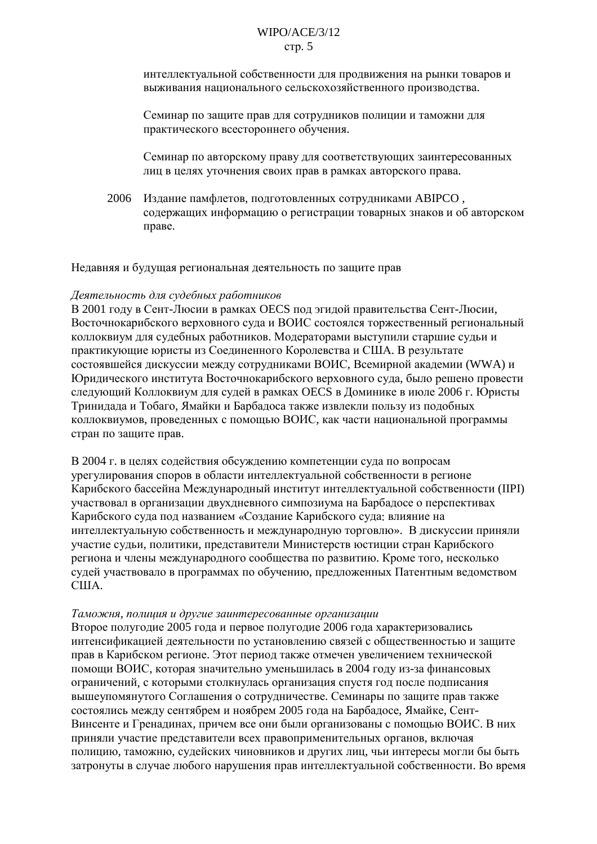интеллектуальной собственности для продвижения на рынки товаров и выживания национального сельскохозяйственного производства.

Семинар по защите прав для сотрудников полиции и таможни для практического всестороннего обучения.

Семинар по авторскому праву для соответствующих заинтересованных лиц в целях уточнения своих прав в рамках авторского права.

2006 Издание памфлетов, подготовленных сотрудниками АВІРСО, содержащих информацию о регистрации товарных знаков и об авторском праве.

Недавняя и будущая региональная деятельность по защите прав

#### Деятельность для судебных работников

В 2001 году в Сент-Люсии в рамках OECS под эгидой правительства Сент-Люсии, Восточнокарибского верховного суда и ВОИС состоялся торжественный региональный коллоквиум для судебных работников. Модераторами выступили старшие судьи и практикующие юристы из Соединенного Королевства и США. В результате состоявшейся дискуссии между сотрудниками ВОИС, Всемирной академии (WWA) и Юридического института Восточнокарибского верховного суда, было решено провести следующий Коллоквиум для судей в рамках OECS в Доминике в июле 2006 г. Юристы Тринидада и Тобаго, Ямайки и Барбадоса также извлекли пользу из подобных коллоквиумов, проведенных с помощью ВОИС, как части национальной программы стран по защите прав.

В 2004 г. в целях содействия обсуждению компетенции суда по вопросам урегулирования споров в области интеллектуальной собственности в регионе Карибского бассейна Международный институт интеллектуальной собственности (IIPI) участвовал в организации двухдневного симпозиума на Барбадосе о перспективах Карибского суда под названием «Создание Карибского суда: влияние на интеллектуальную собственность и международную торговлю». В дискуссии приняли участие судьи, политики, представители Министерств юстиции стран Карибского региона и члены международного сообщества по развитию. Кроме того, несколько судей участвовало в программах по обучению, предложенных Патентным ведомством CIIIA.

#### Таможня, полиция и другие заинтересованные организации

Второе полугодие 2005 года и первое полугодие 2006 года характеризовались интенсификацией деятельности по установлению связей с общественностью и защите прав в Карибском регионе. Этот период также отмечен увеличением технической помощи ВОИС, которая значительно уменьшилась в 2004 году из-за финансовых ограничений, с которыми столкнулась организация спустя год после подписания вышеупомянутого Соглашения о сотрудничестве. Семинары по защите прав также состоялись между сентябрем и ноябрем 2005 года на Барбадосе, Ямайке, Сент-Винсенте и Гренадинах, причем все они были организованы с помощью ВОИС. В них приняли участие представители всех правоприменительных органов, включая полицию, таможню, судейских чиновников и других лиц, чьи интересы могли бы быть затронуты в случае любого нарушения прав интеллектуальной собственности. Во время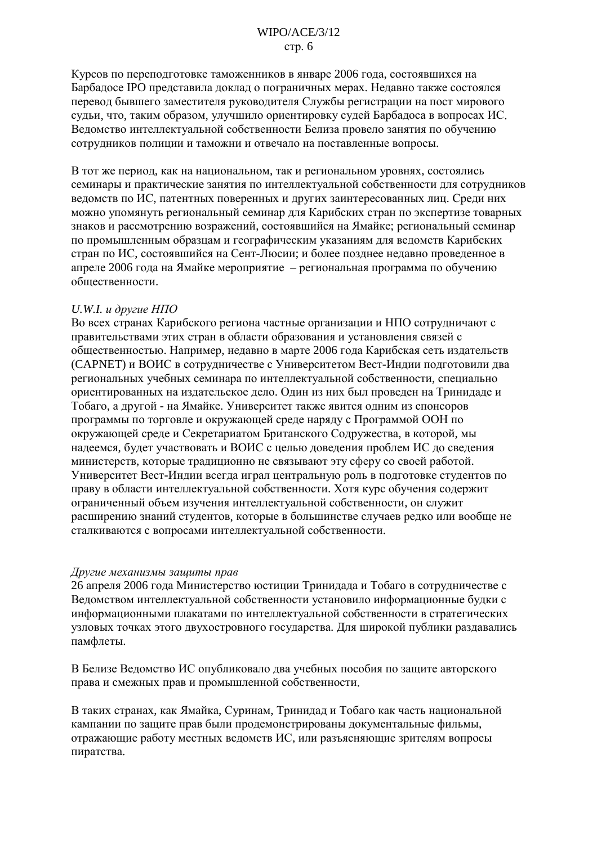Курсов по переподготовке таможенников в январе 2006 года, состоявшихся на Барбадосе IPO представила доклад о пограничных мерах. Недавно также состоялся перевод бывшего заместителя руководителя Службы регистрации на пост мирового судьи, что, таким образом, улучшило ориентировку судей Барбадоса в вопросах ИС. Ведомство интеллектуальной собственности Белиза провело занятия по обучению сотрудников полиции и таможни и отвечало на поставленные вопросы.

В тот же период, как на национальном, так и региональном уровнях, состоялись семинары и практические занятия по интеллектуальной собственности для сотрудников ведомств по ИС, патентных поверенных и других заинтересованных лиц. Среди них можно упомянуть региональный семинар для Карибских стран по экспертизе товарных знаков и рассмотрению возражений, состоявшийся на Ямайке; региональный семинар по промышленным образцам и географическим указаниям для ведомств Карибских стран по ИС, состоявшийся на Сент-Люсии; и более позднее недавно проведенное в апреле 2006 года на Ямайке мероприятие - региональная программа по обучению обшественности.

#### U.W.I.  $u$  dpyzue  $H$  $\Pi$ O

Во всех странах Карибского региона частные организации и НПО сотрудничают с правительствами этих стран в области образования и установления связей с общественностью. Например, недавно в марте 2006 года Карибская сеть издательств (САРМЕТ) и ВОИС в сотрудничестве с Университетом Вест-Индии подготовили два региональных учебных семинара по интеллектуальной собственности, специально ориентированных на издательское дело. Один из них был проведен на Тринидаде и Тобаго, а другой - на Ямайке. Университет также явится одним из спонсоров программы по торговле и окружающей среде наряду с Программой ООН по окружающей среде и Секретариатом Британского Содружества, в которой, мы надеемся, будет участвовать и ВОИС с целью доведения проблем ИС до сведения министерств, которые традиционно не связывают эту сферу со своей работой. Университет Вест-Индии всегда играл центральную роль в подготовке студентов по праву в области интеллектуальной собственности. Хотя курс обучения содержит ограниченный объем изучения интеллектуальной собственности, он служит расширению знаний студентов, которые в большинстве случаев редко или вообще не сталкиваются с вопросами интеллектуальной собственности.

#### Другие механизмы защиты прав

26 апреля 2006 года Министерство юстиции Тринидада и Тобаго в сотрудничестве с Ведомством интеллектуальной собственности установило информационные будки с информационными плакатами по интеллектуальной собственности в стратегических узловых точках этого двухостровного государства. Для широкой публики раздавались памфлеты.

В Белизе Ведомство ИС опубликовало два учебных пособия по защите авторского права и смежных прав и промышленной собственности.

В таких странах, как Ямайка, Суринам, Тринидад и Тобаго как часть национальной кампании по защите прав были продемонстрированы документальные фильмы, отражающие работу местных ведомств ИС, или разъясняющие зрителям вопросы пиратства.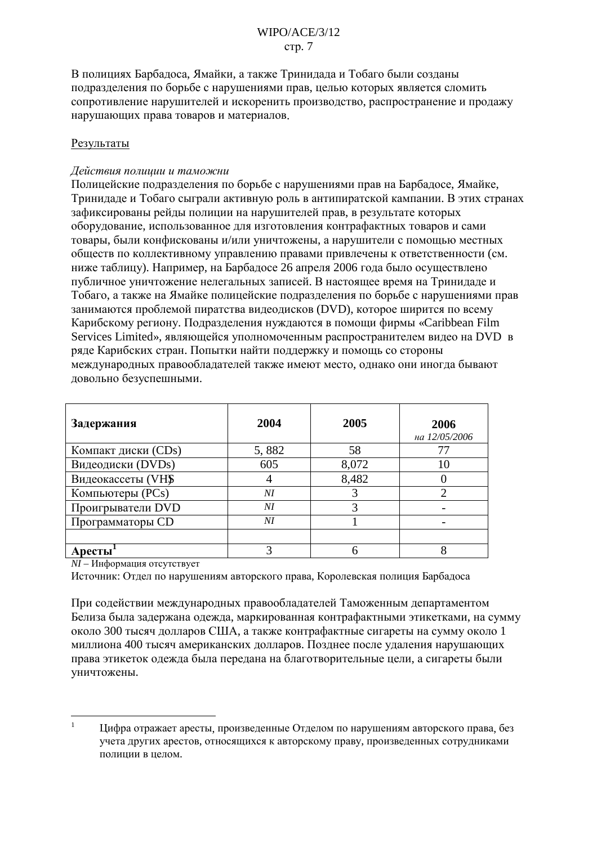В полициях Барбалоса. Ямайки, а также Тринилала и Тобаго были созланы подразделения по борьбе с нарушениями прав, целью которых является сломить сопротивление нарушителей и искоренить производство, распространение и продажу нарушающих права товаров и материалов.

## Результаты

## Действия полиции и таможни

Полицейские подразделения по борьбе с нарушениями прав на Барбадосе, Ямайке, Тринидаде и Тобаго сыграли активную роль в антипиратской кампании. В этих странах зафиксированы рейды полиции на нарушителей прав, в результате которых оборудование, использованное для изготовления контрафактных товаров и сами товары, были конфискованы и/или уничтожены, а нарушители с помощью местных обществ по коллективному управлению правами привлечены к ответственности (см. ниже таблицу). Например, на Барбадосе 26 апреля 2006 года было осуществлено публичное уничтожение нелегальных записей. В настоящее время на Тринидаде и Тобаго, а также на Ямайке полицейские подразделения по борьбе с нарушениями прав занимаются проблемой пиратства видеодисков (DVD), которое ширится по всему Карибскому региону. Подразделения нуждаются в помощи фирмы «Caribbean Film Services Limited», являющейся уполномоченным распространителем видео на DVD в ряде Карибских стран. Попытки найти поддержку и помощь со стороны международных правообладателей также имеют место, однако они иногда бывают довольно безуспешными.

| Задержания          | 2004  | 2005  | 2006<br>на 12/05/2006 |
|---------------------|-------|-------|-----------------------|
| Компакт диски (CDs) | 5,882 | 58    |                       |
| Видеодиски (DVDs)   | 605   | 8,072 | 10                    |
| Видеокассеты (VHS   |       | 8,482 |                       |
| Компьютеры (PCs)    | NI    |       | റ                     |
| Проигрыватели DVD   | NI    |       |                       |
| Программаторы СD    | NI    |       |                       |
|                     |       |       |                       |
| Аресты              |       |       |                       |

NI - Информация отсутствует

Источник: Отдел по нарушениям авторского права, Королевская полиция Барбадоса

При содействии международных правообладателей Таможенным департаментом Белиза была задержана одежда, маркированная контрафактными этикетками, на сумму около 300 тысяч долларов США, а также контрафактные сигареты на сумму около 1 миллиона 400 тысяч американских долларов. Позднее после удаления нарушающих права этикеток одежда была передана на благотворительные цели, а сигареты были уничтожены.

 $\overline{1}$ Цифра отражает аресты, произведенные Отделом по нарушениям авторского права, без учета других арестов, относящихся к авторскому праву, произведенных сотрудниками полинии в нелом.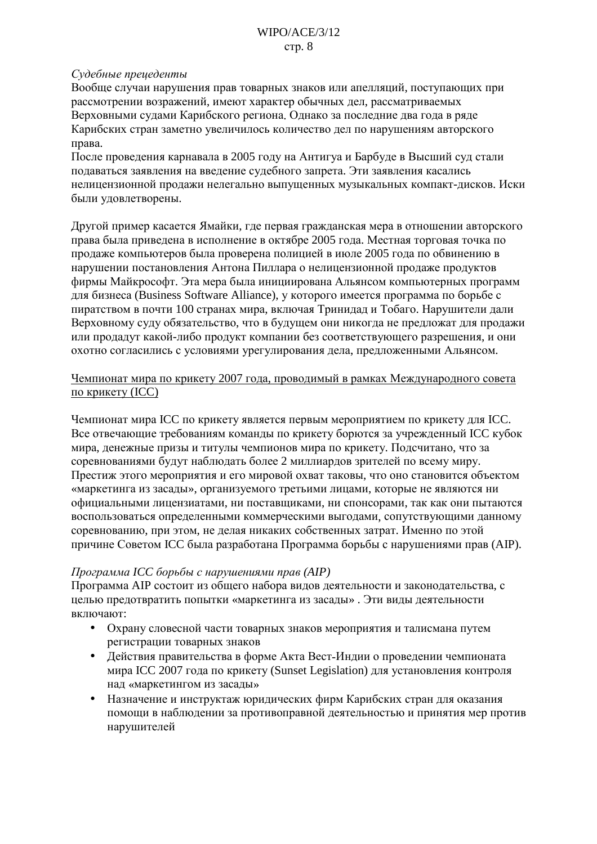## Судебные прецеденты

Вообще случаи нарушения прав товарных знаков или апелляций, поступающих при рассмотрении возражений, имеют характер обычных дел, рассматриваемых Верховными судами Карибского региона. Однако за последние два года в ряде Карибских стран заметно увеличилось количество дел по нарушениям авторского права.

После проведения карнавала в 2005 году на Антигуа и Барбуде в Высший суд стали полаваться заявления на введение судебного запрета. Эти заявления касались нелицензионной продажи нелегально выпущенных музыкальных компакт-дисков. Иски были удовлетворены.

Другой пример касается Ямайки, где первая гражданская мера в отношении авторского права была приведена в исполнение в октябре 2005 года. Местная торговая точка по продаже компьютеров была проверена полицией в июле 2005 года по обвинению в нарушении постановления Антона Пиллара о нелицензионной продаже продуктов фирмы Майкрософт. Эта мера была инициирована Альянсом компьютерных программ для бизнеса (Business Software Alliance), у которого имеется программа по борьбе с пиратством в почти 100 странах мира, включая Тринидад и Тобаго. Нарушители дали Верховному суду обязательство, что в будущем они никогда не предложат для продажи или продадут какой-либо продукт компании без соответствующего разрешения, и они охотно согласились с условиями урегулирования дела, предложенными Альянсом.

## Чемпионат мира по крикету 2007 года, проводимый в рамках Международного совета по крикету (ICC)

Чемпионат мира ICC по крикету является первым мероприятием по крикету для ICC. Все отвечающие требованиям команды по крикету борются за учрежденный ICC кубок мира, денежные призы и титулы чемпионов мира по крикету. Подсчитано, что за соревнованиями будут наблюдать более 2 миллиардов зрителей по всему миру. Престиж этого мероприятия и его мировой охват таковы, что оно становится объектом «маркетинга из засалы», организуемого третьими лицами, которые не являются ни официальными лицензиатами, ни поставщиками, ни спонсорами, так как они пытаются воспользоваться определенными коммерческими выгодами, сопутствующими данному соревнованию, при этом, не делая никаких собственных затрат. Именно по этой причине Советом ICC была разработана Программа борьбы с нарушениями прав (AIP).

## Программа ICC борьбы с нарушениями прав (AIP)

Программа AIP состоит из общего набора видов деятельности и законодательства, с целью предотвратить попытки «маркетинга из засады». Эти виды деятельности включают:

- Охрану словесной части товарных знаков мероприятия и талисмана путем регистрации товарных знаков
- Действия правительства в форме Акта Вест-Индии о проведении чемпионата мира ICC 2007 года по крикету (Sunset Legislation) для установления контроля над «маркетингом из засады»
- $\bullet$ Назначение и инструктаж юрилических фирм Карибских стран для оказания помощи в наблюдении за противоправной деятельностью и принятия мер против нарушителей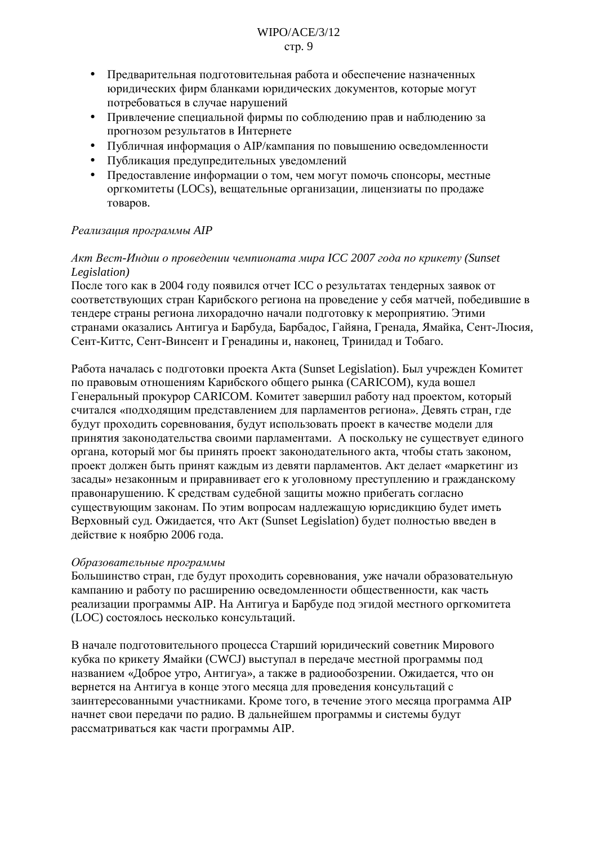- Предварительная подготовительная работа и обеспечение назначенных  $\bullet$ юридических фирм бланками юридических документов, которые могут потребоваться в случае нарушений
- $\bullet$ Привлечение специальной фирмы по соблюдению прав и наблюдению за прогнозом результатов в Интернете
- Публичная информация о АІР/кампания по повышению осведомленности
- Публикация предупредительных уведомлений
- Предоставление информации о том, чем могут помочь спонсоры, местные оргкомитеты (LOCs), вещательные организации, лицензиаты по продаже товаров.

## Реализация программы АІР

# Акт Вест-Индии о проведении чемпионата мира ICC 2007 года по крикету (Sunset Legislation)

После того как в 2004 году появился отчет ICC о результатах тендерных заявок от соответствующих стран Карибского региона на проведение у себя матчей, победившие в тендере страны региона лихорадочно начали подготовку к мероприятию. Этими странами оказались Антигуа и Барбуда, Барбадос, Гайяна, Гренада, Ямайка, Сент-Люсия, Сент-Киттс, Сент-Винсент и Гренадины и, наконец, Тринидад и Тобаго.

Работа началась с подготовки проекта Aкта (Sunset Legislation). Был учрежден Комитет по правовым отношениям Карибского общего рынка (CARICOM), куда вошел Генеральный прокурор CARICOM. Комитет завершил работу над проектом, который считался «подходящим представлением для парламентов региона». Девять стран, где будут проходить соревнования, будут использовать проект в качестве модели для принятия законодательства своими парламентами. А поскольку не существует единого органа, который мог бы принять проект законодательного акта, чтобы стать законом, проект должен быть принят каждым из девяти парламентов. Акт делает «маркетинг из засады» незаконным и приравнивает его к уголовному преступлению и гражданскому правонарушению. К средствам судебной защиты можно прибегать согласно существующим законам. По этим вопросам надлежащую юрисдикцию будет иметь Верховный суд. Ожидается, что Акт (Sunset Legislation) будет полностью введен в действие к ноябрю 2006 года.

## Образовательные программы

Большинство стран, где будут проходить соревнования, уже начали образовательную кампанию и работу по расширению осведомленности общественности, как часть реализации программы AIP. На Антигуа и Барбуде под эгидой местного оргкомитета (LOC) состоялось несколько консультаций.

В начале подготовительного процесса Старший юридический советник Мирового кубка по крикету Ямайки (CWCJ) выступал в передаче местной программы под названием «Доброе утро, Антигуа», а также в радиообозрении. Ожидается, что он вернется на Антигуа в конце этого месяца для проведения консультаций с заинтересованными участниками. Кроме того, в течение этого месяца программа AIP начнет свои передачи по радио. В дальнейшем программы и системы будут рассматриваться как части программы АІР.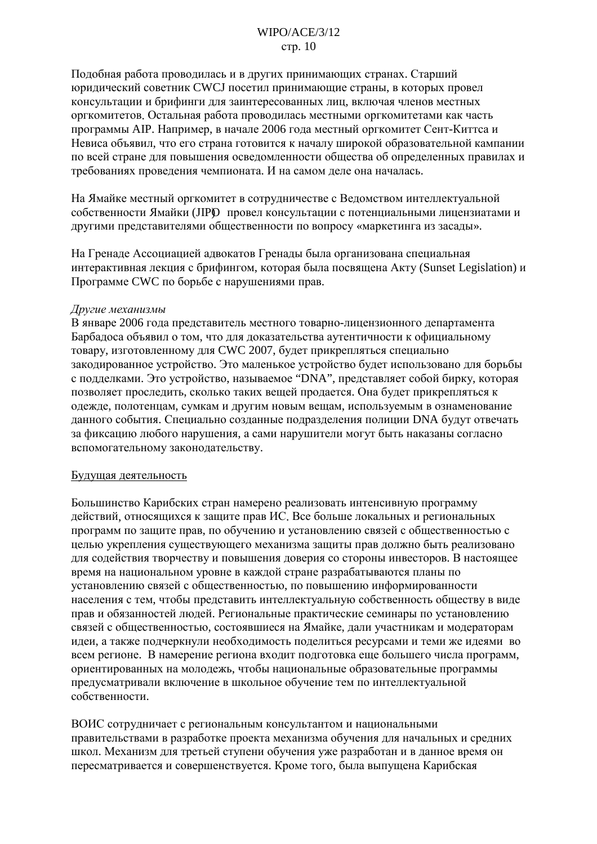## $WIPO/ACE/3/12$ стр. 10

Полобная работа проволилась и в лругих принимающих странах. Старший юридический советник CWCJ посетил принимающие страны, в которых провел консультации и брифинги для заинтересованных лиц, включая членов местных оргкомитетов. Остальная работа проводилась местными оргкомитетами как часть программы AIP. Например, в начале 2006 года местный оргкомитет Сент-Киттса и Невиса объявил, что его страна готовится к началу широкой образовательной кампании по всей стране для повышения осведомленности общества об определенных правилах и требованиях проведения чемпионата. И на самом деле она началась.

На Ямайке местный оргкомитет в сотрудничестве с Ведомством интеллектуальной собственности Ямайки (JIPO провел консультации с потенциальными лицензиатами и другими представителями общественности по вопросу «маркетинга из засады».

На Гренаде Ассоциацией адвокатов Гренады была организована специальная интерактивная лекция с брифингом, которая была посвящена Aкту (Sunset Legislation) и Программе CWC по борьбе с нарушениями прав.

#### Другие механизмы

В январе 2006 года представитель местного товарно-лицензионного департамента Барбадоса объявил о том, что для доказательства аутентичности к официальному товару, изготовленному для СWC 2007, будет прикрепляться специально закодированное устройство. Это маленькое устройство будет использовано для борьбы с подделками. Это устройство, называемое "DNA", представляет собой бирку, которая позволяет проследить, сколько таких вещей продается. Она будет прикрепляться к одежде, полотенцам, сумкам и другим новым вещам, используемым в ознаменование данного события. Специально созданные подразделения полиции DNA будут отвечать за фиксацию любого нарушения, а сами нарушители могут быть наказаны согласно вспомогательному законодательству.

#### Будущая деятельность

Большинство Карибских стран намерено реализовать интенсивную программу действий, относящихся к защите прав ИС. Все больше локальных и региональных программ по защите прав, по обучению и установлению связей с общественностью с целью укрепления существующего механизма защиты прав должно быть реализовано для содействия творчеству и повышения доверия со стороны инвесторов. В настоящее время на национальном уровне в каждой стране разрабатываются планы по установлению связей с общественностью, по повышению информированности населения с тем, чтобы представить интеллектуальную собственность обществу в виде прав и обязанностей людей. Региональные практические семинары по установлению связей с общественностью, состоявшиеся на Ямайке, дали участникам и модераторам идеи, а также подчеркнули необходимость поделиться ресурсами и теми же идеями во всем регионе. В намерение региона входит подготовка еще большего числа программ, ориентированных на молодежь, чтобы национальные образовательные программы предусматривали включение в школьное обучение тем по интеллектуальной собственности.

ВОИС сотрудничает с региональным консультантом и национальными правительствами в разработке проекта механизма обучения для начальных и средних школ. Механизм для третьей ступени обучения уже разработан и в данное время он пересматривается и совершенствуется. Кроме того, была выпущена Карибская